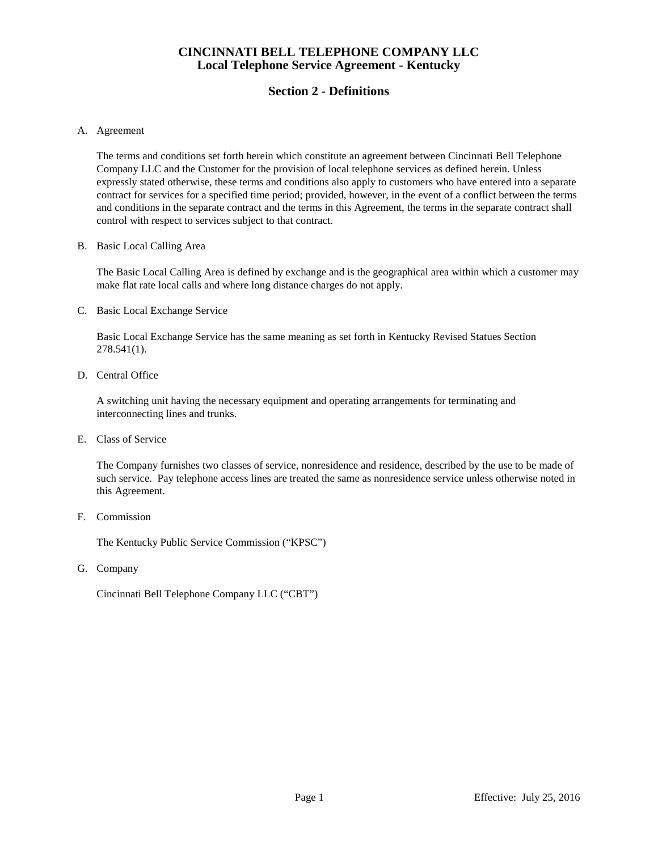# **Section 2 - Definitions**

#### A. Agreement

The terms and conditions set forth herein which constitute an agreement between Cincinnati Bell Telephone Company LLC and the Customer for the provision of local telephone services as defined herein. Unless expressly stated otherwise, these terms and conditions also apply to customers who have entered into a separate contract for services for a specified time period; provided, however, in the event of a conflict between the terms and conditions in the separate contract and the terms in this Agreement, the terms in the separate contract shall control with respect to services subject to that contract.

#### B. Basic Local Calling Area

The Basic Local Calling Area is defined by exchange and is the geographical area within which a customer may make flat rate local calls and where long distance charges do not apply.

### C. Basic Local Exchange Service

Basic Local Exchange Service has the same meaning as set forth in Kentucky Revised Statues Section 278.541(1).

#### D. Central Office

A switching unit having the necessary equipment and operating arrangements for terminating and interconnecting lines and trunks.

#### E. Class of Service

The Company furnishes two classes of service, nonresidence and residence, described by the use to be made of such service. Pay telephone access lines are treated the same as nonresidence service unless otherwise noted in this Agreement.

### F. Commission

The Kentucky Public Service Commission ("KPSC")

G. Company

Cincinnati Bell Telephone Company LLC ("CBT")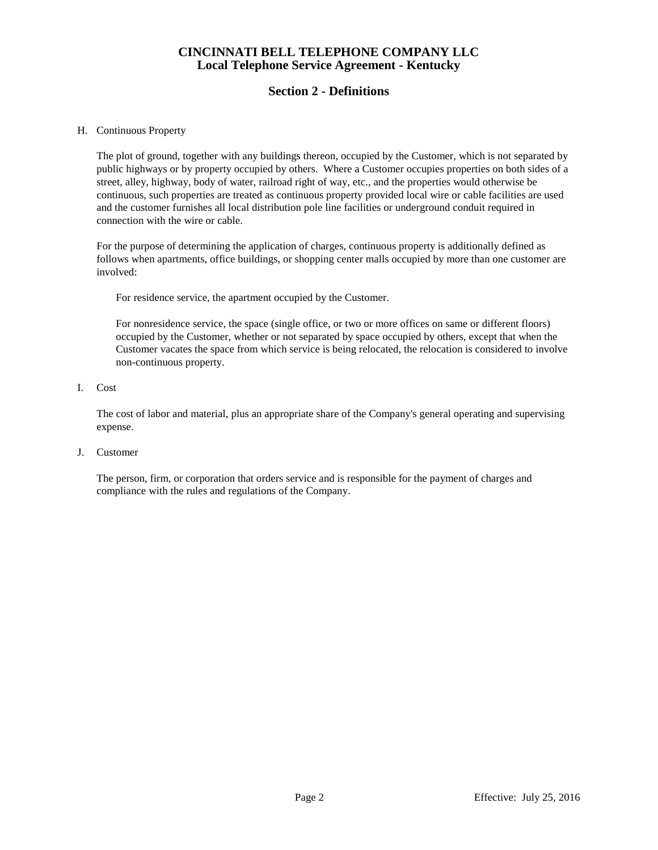# **Section 2 - Definitions**

### H. Continuous Property

The plot of ground, together with any buildings thereon, occupied by the Customer, which is not separated by public highways or by property occupied by others. Where a Customer occupies properties on both sides of a street, alley, highway, body of water, railroad right of way, etc., and the properties would otherwise be continuous, such properties are treated as continuous property provided local wire or cable facilities are used and the customer furnishes all local distribution pole line facilities or underground conduit required in connection with the wire or cable.

For the purpose of determining the application of charges, continuous property is additionally defined as follows when apartments, office buildings, or shopping center malls occupied by more than one customer are involved:

For residence service, the apartment occupied by the Customer.

For nonresidence service, the space (single office, or two or more offices on same or different floors) occupied by the Customer, whether or not separated by space occupied by others, except that when the Customer vacates the space from which service is being relocated, the relocation is considered to involve non-continuous property.

I. Cost

The cost of labor and material, plus an appropriate share of the Company's general operating and supervising expense.

J. Customer

The person, firm, or corporation that orders service and is responsible for the payment of charges and compliance with the rules and regulations of the Company.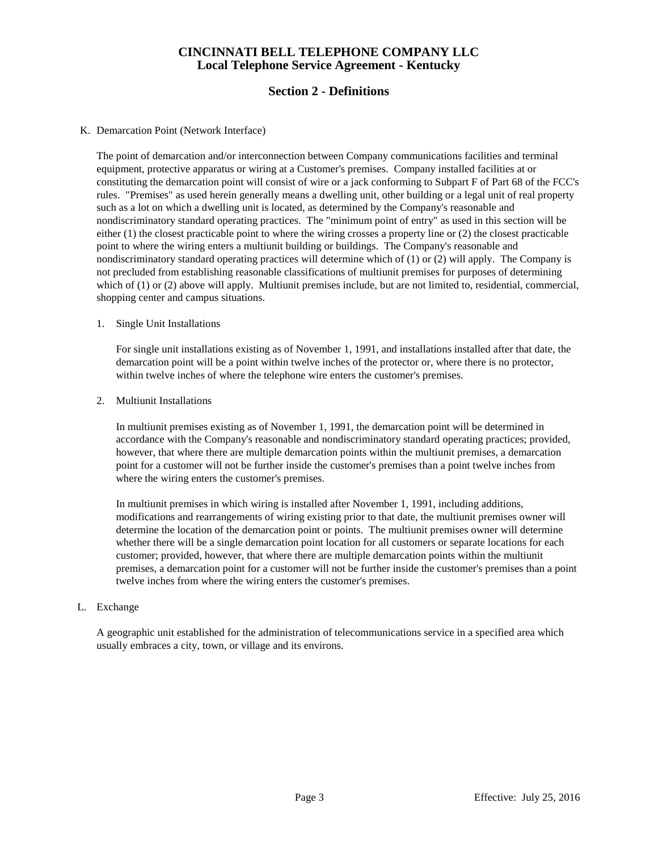# **Section 2 - Definitions**

### K. Demarcation Point (Network Interface)

The point of demarcation and/or interconnection between Company communications facilities and terminal equipment, protective apparatus or wiring at a Customer's premises. Company installed facilities at or constituting the demarcation point will consist of wire or a jack conforming to Subpart F of Part 68 of the FCC's rules. "Premises" as used herein generally means a dwelling unit, other building or a legal unit of real property such as a lot on which a dwelling unit is located, as determined by the Company's reasonable and nondiscriminatory standard operating practices. The "minimum point of entry" as used in this section will be either (1) the closest practicable point to where the wiring crosses a property line or (2) the closest practicable point to where the wiring enters a multiunit building or buildings. The Company's reasonable and nondiscriminatory standard operating practices will determine which of (1) or (2) will apply. The Company is not precluded from establishing reasonable classifications of multiunit premises for purposes of determining which of (1) or (2) above will apply. Multiunit premises include, but are not limited to, residential, commercial, shopping center and campus situations.

#### 1. Single Unit Installations

For single unit installations existing as of November 1, 1991, and installations installed after that date, the demarcation point will be a point within twelve inches of the protector or, where there is no protector, within twelve inches of where the telephone wire enters the customer's premises.

#### 2. Multiunit Installations

 In multiunit premises existing as of November 1, 1991, the demarcation point will be determined in accordance with the Company's reasonable and nondiscriminatory standard operating practices; provided, however, that where there are multiple demarcation points within the multiunit premises, a demarcation point for a customer will not be further inside the customer's premises than a point twelve inches from where the wiring enters the customer's premises.

 In multiunit premises in which wiring is installed after November 1, 1991, including additions, modifications and rearrangements of wiring existing prior to that date, the multiunit premises owner will determine the location of the demarcation point or points. The multiunit premises owner will determine whether there will be a single demarcation point location for all customers or separate locations for each customer; provided, however, that where there are multiple demarcation points within the multiunit premises, a demarcation point for a customer will not be further inside the customer's premises than a point twelve inches from where the wiring enters the customer's premises.

#### L. Exchange

A geographic unit established for the administration of telecommunications service in a specified area which usually embraces a city, town, or village and its environs.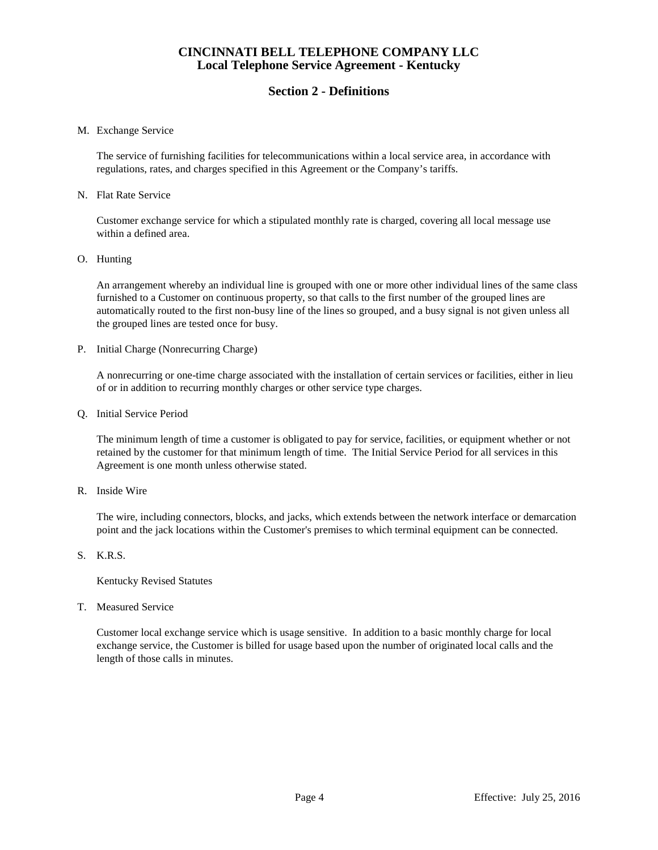## **Section 2 - Definitions**

#### M. Exchange Service

The service of furnishing facilities for telecommunications within a local service area, in accordance with regulations, rates, and charges specified in this Agreement or the Company's tariffs.

#### N. Flat Rate Service

Customer exchange service for which a stipulated monthly rate is charged, covering all local message use within a defined area.

O. Hunting

An arrangement whereby an individual line is grouped with one or more other individual lines of the same class furnished to a Customer on continuous property, so that calls to the first number of the grouped lines are automatically routed to the first non-busy line of the lines so grouped, and a busy signal is not given unless all the grouped lines are tested once for busy.

P. Initial Charge (Nonrecurring Charge)

A nonrecurring or one-time charge associated with the installation of certain services or facilities, either in lieu of or in addition to recurring monthly charges or other service type charges.

Q. Initial Service Period

The minimum length of time a customer is obligated to pay for service, facilities, or equipment whether or not retained by the customer for that minimum length of time. The Initial Service Period for all services in this Agreement is one month unless otherwise stated.

R. Inside Wire

The wire, including connectors, blocks, and jacks, which extends between the network interface or demarcation point and the jack locations within the Customer's premises to which terminal equipment can be connected.

S. K.R.S.

Kentucky Revised Statutes

T. Measured Service

Customer local exchange service which is usage sensitive. In addition to a basic monthly charge for local exchange service, the Customer is billed for usage based upon the number of originated local calls and the length of those calls in minutes.